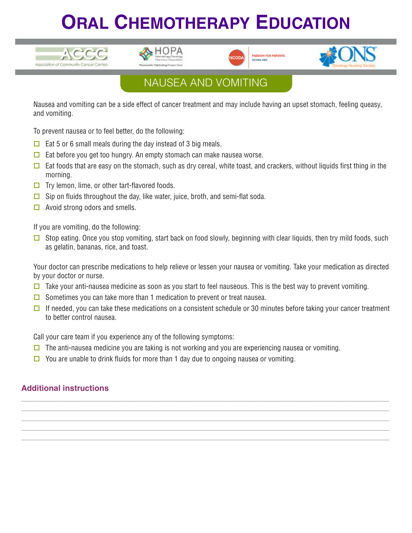# **ORAL CHEMOTHERAPY EDUCATION**









### NAUSEA AND VOMITING

Nausea and vomiting can be a side effect of cancer treatment and may include having an upset stomach, feeling queasy, and vomiting.

To prevent nausea or to feel better, do the following:

- $\Box$  Eat 5 or 6 small meals during the day instead of 3 big meals.
- $\Box$  Eat before you get too hungry. An empty stomach can make nausea worse.
- $\Box$  Eat foods that are easy on the stomach, such as dry cereal, white toast, and crackers, without liquids first thing in the morning.
- $\Box$  Try lemon, lime, or other tart-flavored foods.
- $\Box$  Sip on fluids throughout the day, like water, juice, broth, and semi-flat soda.
- $\Box$  Avoid strong odors and smells.

If you are vomiting, do the following:

G Stop eating. Once you stop vomiting, start back on food slowly, beginning with clear liquids, then try mild foods, such as gelatin, bananas, rice, and toast.

Your doctor can prescribe medications to help relieve or lessen your nausea or vomiting. Take your medication as directed by your doctor or nurse.

- $\square$  Take your anti-nausea medicine as soon as you start to feel nauseous. This is the best way to prevent vomiting.
- $\Box$  Sometimes you can take more than 1 medication to prevent or treat nausea.
- If needed, you can take these medications on a consistent schedule or 30 minutes before taking your cancer treatment to better control nausea.

**\_\_\_\_\_\_\_\_\_\_\_\_\_\_\_\_\_\_\_\_\_\_\_\_\_\_\_\_\_\_\_\_\_\_\_\_\_\_\_\_\_\_\_\_\_\_\_\_\_\_\_\_\_\_\_\_\_\_\_\_\_\_\_\_\_\_\_\_\_\_\_\_\_\_\_\_\_\_\_\_\_\_ \_\_\_\_\_\_\_\_\_\_\_\_\_\_\_\_\_\_\_\_\_\_\_\_\_\_\_\_\_\_\_\_\_\_\_\_\_\_\_\_\_\_\_\_\_\_\_\_\_\_\_\_\_\_\_\_\_\_\_\_\_\_\_\_\_\_\_\_\_\_\_\_\_\_\_\_\_\_\_\_\_\_ \_\_\_\_\_\_\_\_\_\_\_\_\_\_\_\_\_\_\_\_\_\_\_\_\_\_\_\_\_\_\_\_\_\_\_\_\_\_\_\_\_\_\_\_\_\_\_\_\_\_\_\_\_\_\_\_\_\_\_\_\_\_\_\_\_\_\_\_\_\_\_\_\_\_\_\_\_\_\_\_\_\_ \_\_\_\_\_\_\_\_\_\_\_\_\_\_\_\_\_\_\_\_\_\_\_\_\_\_\_\_\_\_\_\_\_\_\_\_\_\_\_\_\_\_\_\_\_\_\_\_\_\_\_\_\_\_\_\_\_\_\_\_\_\_\_\_\_\_\_\_\_\_\_\_\_\_\_\_\_\_\_\_\_\_ \_\_\_\_\_\_\_\_\_\_\_\_\_\_\_\_\_\_\_\_\_\_\_\_\_\_\_\_\_\_\_\_\_\_\_\_\_\_\_\_\_\_\_\_\_\_\_\_\_\_\_\_\_\_\_\_\_\_\_\_\_\_\_\_\_\_\_\_\_\_\_\_\_\_\_\_\_\_\_\_\_\_**

Call your care team if you experience any of the following symptoms:

- $\Box$  The anti-nausea medicine you are taking is not working and you are experiencing nausea or vomiting.
- $\Box$  You are unable to drink fluids for more than 1 day due to ongoing nausea or vomiting.

#### **Additional instructions**